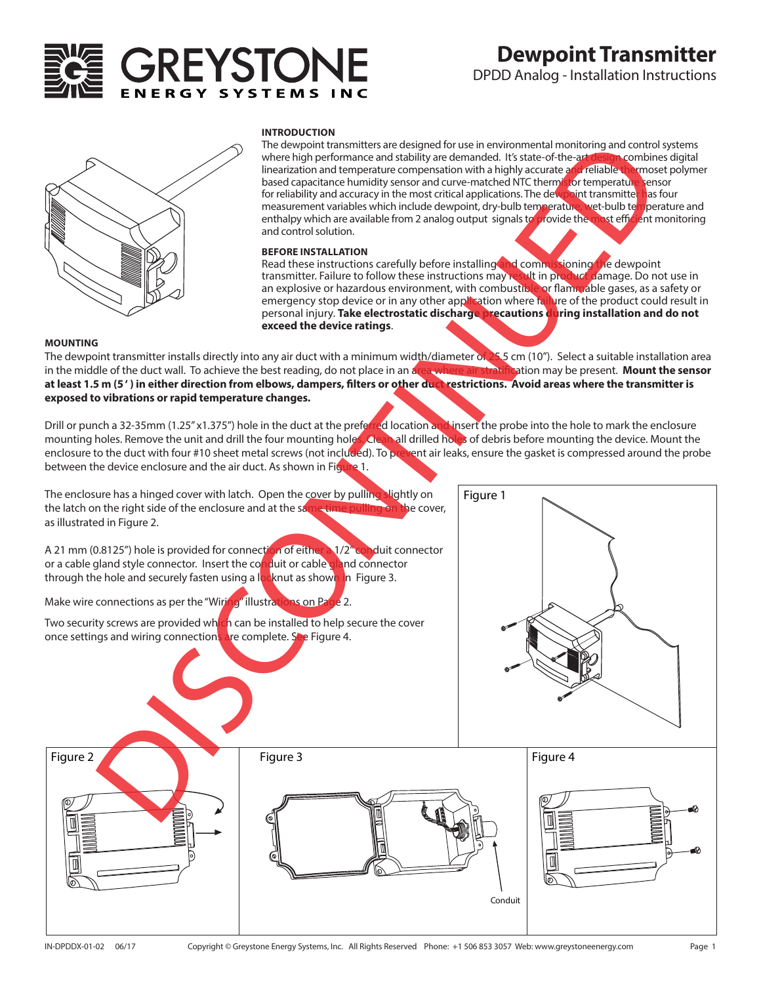# GREYSTON

## **Dewpoint Transmitter**

DPDD Analog - Installation Instructions



### **INTRODUCTION**

The dewpoint transmitters are designed for use in environmental monitoring and control systems where high performance and stability are demanded. It's state-of-the-art design combines digital linearization and temperature compensation with a highly accurate and reliable thermoset polymer based capacitance humidity sensor and curve-matched NTC thermistor temperature sensor for reliability and accuracy in the most critical applications. The dewpoint transmitte<mark>r h</mark>as four measurement variables which include dewpoint, dry-bulb temperature, wet-bulb temperature and enthalpy which are available from 2 analog output signals to provide the most efficient monitoring and control solution.

### **BEFORE INSTALLATION**

Read these instructions carefully before installing and commissioning the dewpoint transmitter. Failure to follow these instructions may result in product damage. Do not use in an explosive or hazardous environment, with combustible or flammable gases, as a safety or emergency stop device or in any other application where failure of the product could result in personal injury. **Take electrostatic discharge precautions during installation and do not exceed the device ratings**.

### **MOUNTING**

The dewpoint transmitter installs directly into any air duct with a minimum width/diameter of 25.5 cm (10"). Select a suitable installation area<br>in the middle of the duct wall. To achieve the best reading, do not place in in the middle of the duct wall. To achieve the best reading, do not place in an area where air at least 1.5 m (5<sup>*'*</sup>) in either direction from elbows, dampers, filters or other duct restrictions. Avoid areas where the transmitter is **exposed to vibrations or rapid temperature changes.**

Drill or punch a 32-35mm (1.25" x1.375") hole in the duct at the preferred location and insert the probe into the hole to mark the enclosure mounting holes. Remove the unit and drill the four mounting holes. Clean all drilled holes of debris before mounting the device. Mount the enclosure to the duct with four #10 sheet metal screws (not included). To prevent air leaks, ensure the gasket is compressed around the probe between the device enclosure and the air duct. As shown in Figure 1.

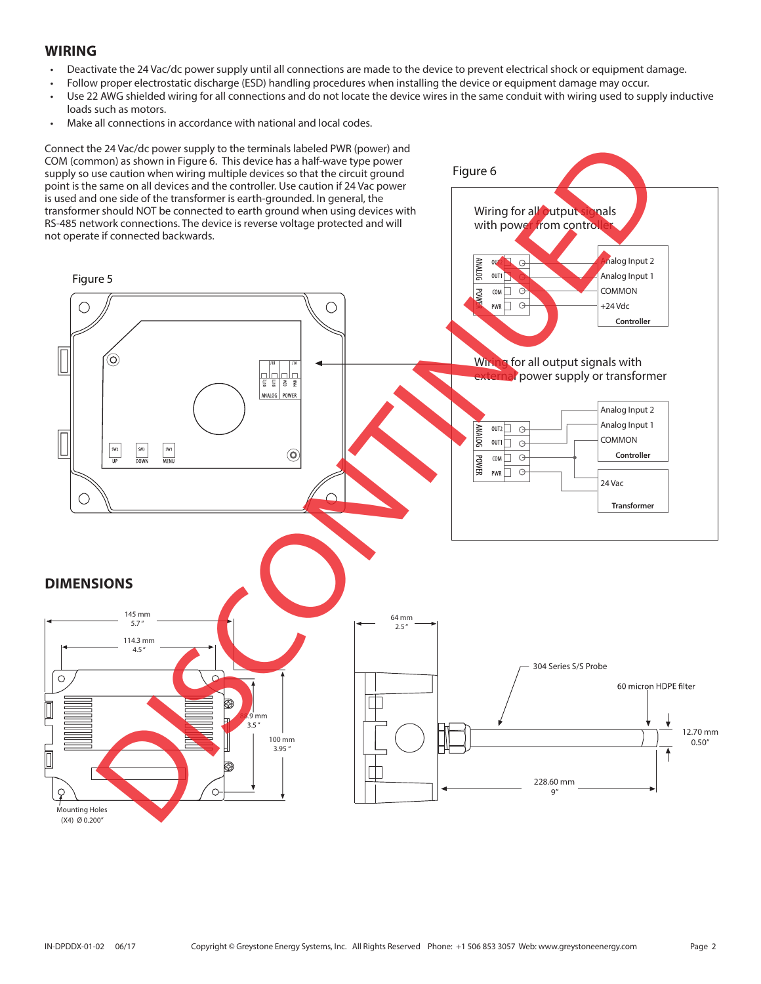### **WIRING**

- Deactivate the 24 Vac/dc power supply until all connections are made to the device to prevent electrical shock or equipment damage.
- Follow proper electrostatic discharge (ESD) handling procedures when installing the device or equipment damage may occur.
- Use 22 AWG shielded wiring for all connections and do not locate the device wires in the same conduit with wiring used to supply inductive loads such as motors.
- Make all connections in accordance with national and local codes.

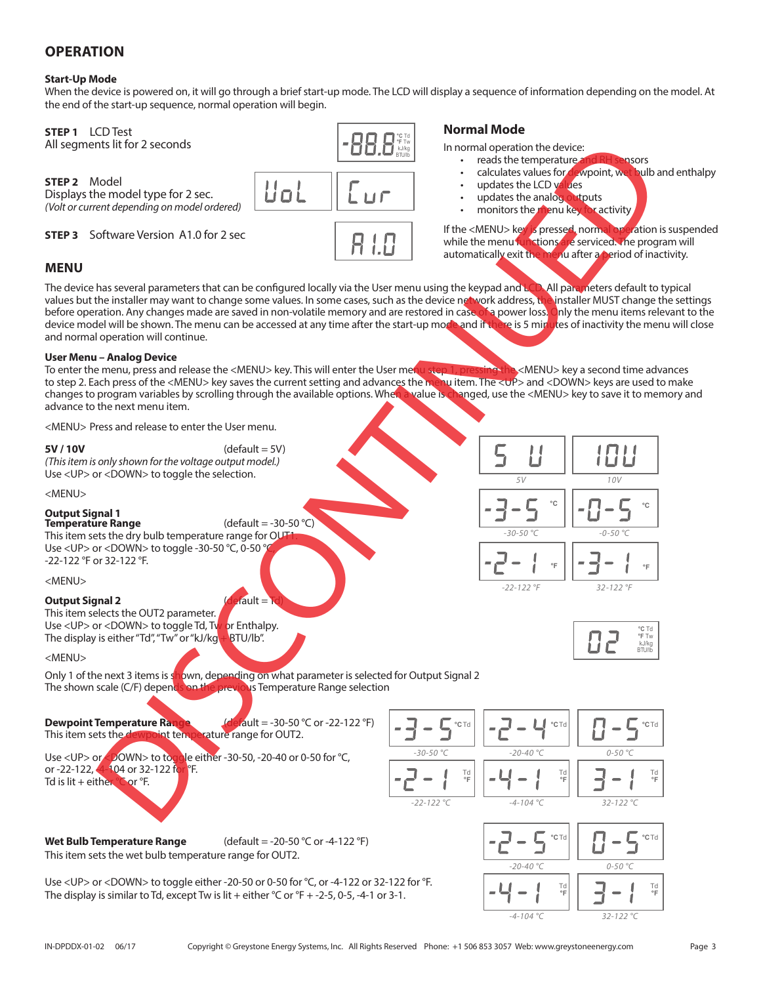### **OPERATION**

### **Start-Up Mode**

When the device is powered on, it will go through a brief start-up mode. The LCD will display a sequence of information depending on the model. At the end of the start-up sequence, normal operation will begin.

> **°C** Td **°F** Tw kJ/kg BTU/lb

**STEP 1** LCD Test All segments lit for 2 seconds

**STEP 2** Model Displays the model type for 2 sec. *(Volt or current depending on model ordered)*

**STEP 3** Software Version A1.0 for 2 sec

### **MENU**

The device has several parameters that can be configured locally via the User menu using the keypad and LCD. All parameters default to typical values but the installer may want to change some values. In some cases, such as the device network address, the installer MUST change the settings before operation. Any changes made are saved in non-volatile memory and are restored in case of a power loss. Only the menu items relevant to the device model will be shown. The menu can be accessed at any time after the start-up mode and if there is 5 minutes of inactivity the menu will close and normal operation will continue. ns lik for 2 accords<br>
en minimale for 2 acc.<br>
en minimale for 2 acc.<br>
en minimale for 2 acc.<br>
en minimale for accord order of the strength of accord order of the strength of accord order of the strength of accord order of

### **User Menu – Analog Device**

To enter the menu, press and release the <MENU> key. This will enter the User me<mark>nu step 1, pressing the</mark> <MENU> key a second time advances to step 2. Each press of the <MENU> key saves the current setting and advances the menu item. The <UP> and <DOWN> keys are used to make changes to program variables by scrolling through the available options. When a value is changed, use the <MENU> key to save it to memory and advance to the next menu item.

<MENU> Press and release to enter the User menu.

### **5V / 10V** (default = 5V)

*(This item is only shown for the voltage output model.)* Use <UP> or <DOWN> to toggle the selection.

<MENU>

### **Output Signal 1**

**Temperature Range** (default = -30-50 °C) This item sets the dry bulb temperature range for OUT Use <UP> or <DOWN> to toggle -30-50 °C, 0-50 ° -22-122 °F or 32-122 °F.

<MENU>

### **Output Signal 2** (default = Td)

This item selects the OUT2 parameter. Use <UP> or <DOWN> to toggle Td, Tw or Enthalpy. The display is either "Td", "Tw" or "kJ/kg  $+$  BTU/lb".

<MENU>

Only 1 of the next 3 items is shown, depending on what parameter is selected for Output Signal 2 The shown scale (C/F) depends on the previous Temperature Range selection

**Dewpoint Temperature Range (default = -30-50 °C or -22-122 °F)** This item sets the dewpoint temperature range for OUT2.

This item sets the wet bulb temperature range for OUT2.

Use <UP> or <DOWN> to togole either -30-50, -20-40 or 0-50 for °C, or -22-122, 4-104 or 32-122 for <sup>o</sup>F. Td is lit + either  $^{\circ}$ C or  $^{\circ}$ F.

**Wet Bulb Temperature Range** (default = -20-50 °C or -4-122 °F)

Use <UP> or <DOWN> to toggle either -20-50 or 0-50 for °C, or -4-122 or 32-122 for °F. The display is similar to Td, except Tw is lit + either  $°C$  or  $°F + -2-5$ , 0-5, -4-1 or 3-1.





**°C** Td

**°C** Td **°F** Tw kJ/kg

Td **°F**





In normal operation the device:

- reads the temperature and RH sensors
- calculates values for dewpoint, wet bulb and enthalpy
- updates the LCD values
- updates the analog outputs
- monitors the menu key for activity

If the <MENU> key is pressed, normal operation is suspended while the menu functions are serviced. The program will automatically exit the menu after a period of inactivity.

*5V 10V*

**°C °C**

**°F °F**

*-30-50 °C -0-50 °C*

*-22-122 °F 32-122 °F*